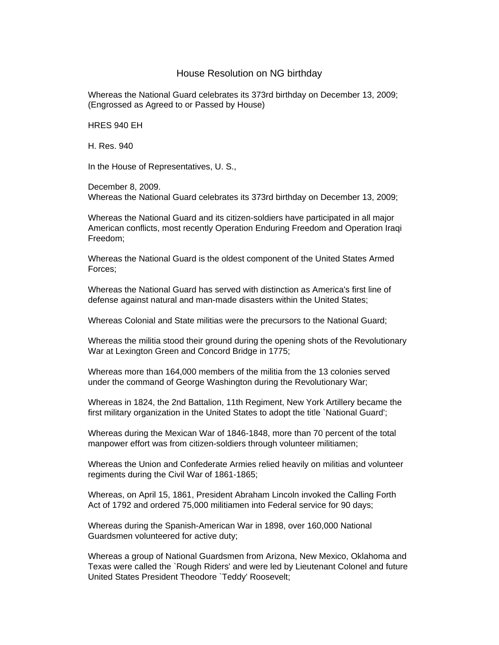## House Resolution on NG birthday

Whereas the National Guard celebrates its 373rd birthday on December 13, 2009; (Engrossed as Agreed to or Passed by House)

HRES 940 EH

H. Res. 940

In the House of Representatives, U. S.,

December 8, 2009. Whereas the National Guard celebrates its 373rd birthday on December 13, 2009;

Whereas the National Guard and its citizen-soldiers have participated in all major American conflicts, most recently Operation Enduring Freedom and Operation Iraqi Freedom;

Whereas the National Guard is the oldest component of the United States Armed Forces;

Whereas the National Guard has served with distinction as America's first line of defense against natural and man-made disasters within the United States;

Whereas Colonial and State militias were the precursors to the National Guard;

Whereas the militia stood their ground during the opening shots of the Revolutionary War at Lexington Green and Concord Bridge in 1775;

Whereas more than 164,000 members of the militia from the 13 colonies served under the command of George Washington during the Revolutionary War;

Whereas in 1824, the 2nd Battalion, 11th Regiment, New York Artillery became the first military organization in the United States to adopt the title `National Guard';

Whereas during the Mexican War of 1846-1848, more than 70 percent of the total manpower effort was from citizen-soldiers through volunteer militiamen;

Whereas the Union and Confederate Armies relied heavily on militias and volunteer regiments during the Civil War of 1861-1865;

Whereas, on April 15, 1861, President Abraham Lincoln invoked the Calling Forth Act of 1792 and ordered 75,000 militiamen into Federal service for 90 days;

Whereas during the Spanish-American War in 1898, over 160,000 National Guardsmen volunteered for active duty;

Whereas a group of National Guardsmen from Arizona, New Mexico, Oklahoma and Texas were called the `Rough Riders' and were led by Lieutenant Colonel and future United States President Theodore `Teddy' Roosevelt;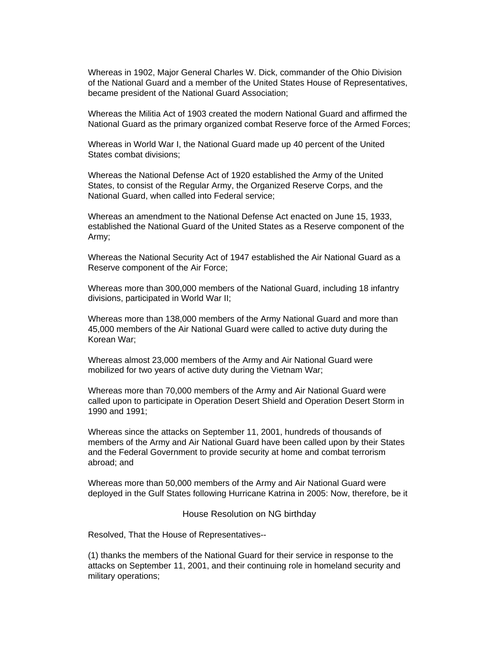Whereas in 1902, Major General Charles W. Dick, commander of the Ohio Division of the National Guard and a member of the United States House of Representatives, became president of the National Guard Association;

Whereas the Militia Act of 1903 created the modern National Guard and affirmed the National Guard as the primary organized combat Reserve force of the Armed Forces;

Whereas in World War I, the National Guard made up 40 percent of the United States combat divisions;

Whereas the National Defense Act of 1920 established the Army of the United States, to consist of the Regular Army, the Organized Reserve Corps, and the National Guard, when called into Federal service;

Whereas an amendment to the National Defense Act enacted on June 15, 1933, established the National Guard of the United States as a Reserve component of the Army;

Whereas the National Security Act of 1947 established the Air National Guard as a Reserve component of the Air Force;

Whereas more than 300,000 members of the National Guard, including 18 infantry divisions, participated in World War II;

Whereas more than 138,000 members of the Army National Guard and more than 45,000 members of the Air National Guard were called to active duty during the Korean War;

Whereas almost 23,000 members of the Army and Air National Guard were mobilized for two years of active duty during the Vietnam War;

Whereas more than 70,000 members of the Army and Air National Guard were called upon to participate in Operation Desert Shield and Operation Desert Storm in 1990 and 1991;

Whereas since the attacks on September 11, 2001, hundreds of thousands of members of the Army and Air National Guard have been called upon by their States and the Federal Government to provide security at home and combat terrorism abroad; and

Whereas more than 50,000 members of the Army and Air National Guard were deployed in the Gulf States following Hurricane Katrina in 2005: Now, therefore, be it

House Resolution on NG birthday

Resolved, That the House of Representatives--

(1) thanks the members of the National Guard for their service in response to the attacks on September 11, 2001, and their continuing role in homeland security and military operations;